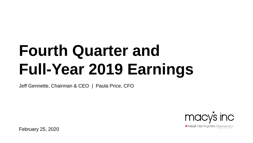# **Fourth Quarter and Full-Year 2019 Earnings**

Jeff Gennette, Chairman & CEO | Paula Price, CFO



February 25, 2020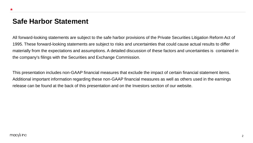### **Safe Harbor Statement**

All forward-looking statements are subject to the safe harbor provisions of the Private Securities Litigation Reform Act of 1995. These forward-looking statements are subject to risks and uncertainties that could cause actual results to differ materially from the expectations and assumptions. A detailed discussion of these factors and uncertainties is contained in the company's filings with the Securities and Exchange Commission.

This presentation includes non-GAAP financial measures that exclude the impact of certain financial statement items. Additional important information regarding these non-GAAP financial measures as well as others used in the earnings release can be found at the back of this presentation and on the Investors section of our website.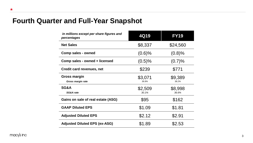### **Fourth Quarter and Full-Year Snapshot**

| in millions except per share figures and<br>percentages | 4Q19             | <b>FY19</b>      |
|---------------------------------------------------------|------------------|------------------|
| <b>Net Sales</b>                                        | \$8,337          | \$24,560         |
| Comp sales - owned                                      | $(0.6)$ %        | (0.8)%           |
| Comp sales - owned + licensed                           | (0.5)%           | (0.7)%           |
| Credit card revenues, net                               | \$239            | \$771            |
| Gross margin<br>Gross margin rate                       | \$3,071<br>36.8% | \$9,389<br>38.2% |
| <b>SG&amp;A</b><br>SG&A rate                            | \$2,509<br>30.1% | \$8,998<br>36.6% |
| Gains on sale of real estate (ASG)                      | \$95             | \$162            |
| <b>GAAP Diluted EPS</b>                                 | \$1.09           | \$1.81           |
| <b>Adjusted Diluted EPS</b>                             | \$2.12           | \$2.91           |
| <b>Adjusted Diluted EPS (ex-ASG)</b>                    | \$1.89           | \$2.53           |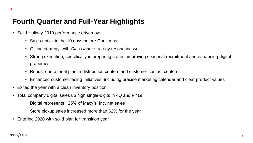# **Fourth Quarter and Full-Year Highlights**

- Solid Holiday 2019 performance driven by:
	- Sales uptick in the 10 days before Christmas
	- Gifting strategy, with *Gifts Under* strategy resonating well
	- Strong execution, specifically in preparing stores, improving seasonal recruitment and enhancing digital properties
	- Robust operational plan in distribution centers and customer contact centers
	- Enhanced customer facing initiatives, including precise marketing calendar and clear product values
- Exited the year with a clean inventory position
- Total company digital sales up high single-digits in 4Q and FY19
	- Digital represents ~25% of Macy's, Inc. net sales
	- Store pickup sales increased more than 62% for the year
- Entering 2020 with solid plan for transition year

 $\star$ 

#### 4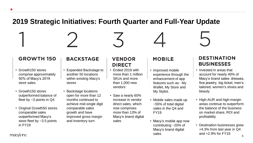### **2019 Strategic Initiatives: Fourth Quarter and Full-Year Update**

#### **GROWTH 150**

- Growth150 stores comprise approximately 50% of Macy's 2019 store sales
- Growth150 stores outperformed balance of fleet by ~3 points in Q4
- Original Growth50 stores comparable sales outperformed Macy's store fleet by ~3.5 points in FY19

#### **BACKSTAGE**

- Expanded Backstage to another 50 locations within existing Macy's stores
- Backstage locations open for more than 12 months continued to achieve mid-single digit comparable sales growth and have improved gross margin and inventory turn

#### **VENDOR DIRECT**

- Ended 2019 with more than 1 million SKUs and more than 1,000 new vendors
- Saw a nearly 60% increase in vendor direct sales, which now comprises more than 13% of Macy's brand digital sales

#### **MOBILE**

- Improved mobile experience through the enhancement of app features such as: My Wallet, My Store and My Stylist.
- Mobile sales made up ~55% of total digital sales in the Q4 and FY19
- Macy's mobile app now contributing ~20% of Macy's brand digital sales

### **DESTINATION BUSINESSES**

- Invested in areas that account for nearly 40% of Macy's brand sales: dresses, fine jewelry, big ticket, men's tailored, women's shoes and beauty
- High-AUR and high-margin areas continue to outperform the balance of the business on market share, ROI and profitability
- Destination businesses grew +4.3% from last year in Q4 and +2.9% for FY19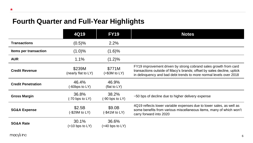# **Fourth Quarter and Full-Year Highlights**

|                           | 4Q19                               | <b>FY19</b>                   | <b>Notes</b>                                                                                                                                                                                                     |
|---------------------------|------------------------------------|-------------------------------|------------------------------------------------------------------------------------------------------------------------------------------------------------------------------------------------------------------|
| <b>Transactions</b>       | (0.5)%                             | 2.2%                          |                                                                                                                                                                                                                  |
| Items per transaction     | $(1.0)\%$                          | (1.6)%                        |                                                                                                                                                                                                                  |
| <b>AUR</b>                | 1.1%                               | (1.2)%                        |                                                                                                                                                                                                                  |
| <b>Credit Revenue</b>     | \$239M<br>(nearly flat to LY)      | \$771M<br>$(+\$3M$ to LY)     | FY19 improvement driven by strong cobrand sales growth from card<br>transactions outside of Macy's brands; offset by sales decline, uptick<br>in delinquency and bad debt trends to more normal levels over 2018 |
| <b>Credit Penetration</b> | 46.4%<br>$(-60bps$ to $LY)$        | 46.9%<br>(flat to $LY$ )      |                                                                                                                                                                                                                  |
| <b>Gross Margin</b>       | 36.8%<br>$(-70 \text{ bps to LY})$ | 38.2%<br>$(-90$ bps to LY $)$ | ~50 bps of decline due to higher delivery expense                                                                                                                                                                |
| <b>SG&amp;A Expense</b>   | \$2.5B<br>(-\$29M to LY)           | \$9.0B<br>$(-$41M to LY)$     | 4Q19 reflects lower variable expenses due to lower sales, as well as<br>some benefits from various miscellaneous items, many of which won't<br>carry forward into 2020                                           |
| <b>SG&amp;A Rate</b>      | 30.1%<br>$(+10$ bps to LY)         | 36.6%<br>$(+40$ bps to LY)    |                                                                                                                                                                                                                  |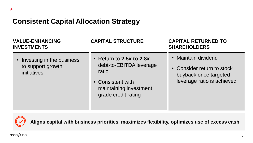### **Consistent Capital Allocation Strategy**

| <b>VALUE-ENHANCING</b><br><b>INVESTMENTS</b>                    | <b>CAPITAL STRUCTURE</b>                                                                                                               | <b>CAPITAL RETURNED TO</b><br><b>SHAREHOLDERS</b>                                                        |
|-----------------------------------------------------------------|----------------------------------------------------------------------------------------------------------------------------------------|----------------------------------------------------------------------------------------------------------|
| • Investing in the business<br>to support growth<br>initiatives | • Return to $2.5x$ to $2.8x$<br>debt-to-EBITDA leverage<br>ratio<br>• Consistent with<br>maintaining investment<br>grade credit rating | • Maintain dividend<br>• Consider return to stock<br>buyback once targeted<br>leverage ratio is achieved |



**Aligns capital with business priorities, maximizes flexibility, optimizes use of excess cash**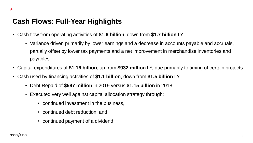### **Cash Flows: Full-Year Highlights**

- Cash flow from operating activities of **\$1.6 billion**, down from **\$1.7 billion** LY
	- Variance driven primarily by lower earnings and a decrease in accounts payable and accruals, partially offset by lower tax payments and a net improvement in merchandise inventories and payables
- Capital expenditures of **\$1.16 billion**, up from **\$932 million** LY, due primarily to timing of certain projects
- Cash used by financing activities of **\$1.1 billion**, down from **\$1.5 billion** LY
	- Debt Repaid of **\$597 million** in 2019 versus **\$1.15 billion** in 2018
	- Executed very well against capital allocation strategy through:
		- continued investment in the business,
		- continued debt reduction, and
		- continued payment of a dividend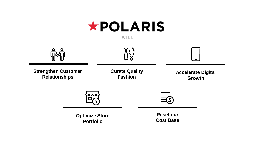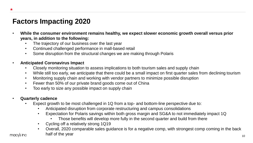# **Factors Impacting 2020**

- **While the consumer environment remains healthy, we expect slower economic growth overall versus prior years, in addition to the following:**
	- The trajectory of our business over the last year
	- Continued challenged performance in mall-based retail
	- Some disruption from the structural changes we are making through Polaris

#### • **Anticipated Coronavirus Impact**

- Closely monitoring situation to assess implications to both tourism sales and supply chain
- While still too early, we anticipate that there could be a small impact on first quarter sales from declining tourism
- Monitoring supply chain and working with vendor partners to minimize possible disruption
- Fewer than 50% of our private brand goods come out of China
- Too early to size any possible impact on supply chain

#### • **Quarterly cadence**

- Expect growth to be most challenged in 1Q from a top- and bottom-line perspective due to:
	- Anticipated disruption from corporate restructuring and campus consolidations
	- Expectation for Polaris savings within both gross margin and SG&A to not immediately impact 1Q
		- Those benefits will develop more fully in the second quarter and build from there
	- Cycling off a relatively strong 1Q19
	- Overall, 2020 comparable sales guidance is for a negative comp, with strongest comp coming in the back half of the year

#### macvs inc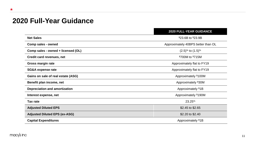### **2020 Full-Year Guidance**

|                                      | <b>2020 FULL-YEAR GUIDANCE</b>               |
|--------------------------------------|----------------------------------------------|
| <b>Net Sales</b>                     | \$23.6B to \$23.9B                           |
| Comp sales - owned                   | Approximately 40BPS better than OL           |
| Comp sales - owned + licensed (OL)   | $(2.5)$ <sup>%</sup> to $(1.5)$ <sup>%</sup> |
| Credit card revenues, net            | \$700M to \$715M                             |
| Gross margin rate                    | Approximately flat to FY19                   |
| SG&A expense rate                    | Approximately flat to FY19                   |
| Gains on sale of real estate (ASG)   | Approximately \$100M                         |
| Benefit plan income, net             | Approximately \$30M                          |
| Depreciation and amortization        | Approximately \$1B                           |
| Interest expense, net                | Approximately \$190M                         |
| Tax rate                             | 23.25%                                       |
| <b>Adjusted Diluted EPS</b>          | \$2.45 to \$2.65                             |
| <b>Adjusted Diluted EPS (ex-ASG)</b> | \$2.20 to \$2.40                             |
| <b>Capital Expenditures</b>          | Approximately \$1B                           |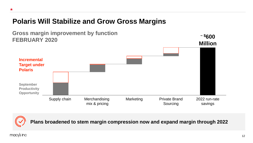# **Polaris Will Stabilize and Grow Gross Margins**





**Plans broadened to stem margin compression now and expand margin through 2022**

#### macy's inc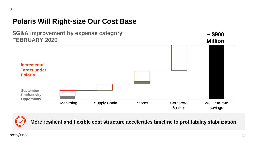**Polaris Will Right-size Our Cost Base ~ \$900 Million September SG&A improvement by expense category FEBRUARY 2020 Incremental Target under Polaris**

Stores Corporate & other Marketing Supply Chain Stores Corporate 2022 run-rate savings **Productivity Opportunity**



 $\star$ 

**More resilient and flexible cost structure accelerates timeline to profitability stabilization**

13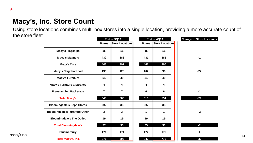# **Macy's, Inc. Store Count**

Using store locations combines multi-box stores into a single location, providing a more accurate count of the store fleet

|                                       | End of 3Q19    |                        |              | <b>End of 4Q19</b>     | <b>Change in Store Locations</b> |  |
|---------------------------------------|----------------|------------------------|--------------|------------------------|----------------------------------|--|
|                                       | <b>Boxes</b>   | <b>Store Locations</b> | <b>Boxes</b> | <b>Store Locations</b> |                                  |  |
| <b>Macy's Flagships</b>               | 16             | 11                     | 16           | 11                     |                                  |  |
| <b>Macy's Magnets</b>                 | 432            | 386                    | 431          | 385                    | $-1$                             |  |
| <b>Macy's Core</b>                    | 448            | 397                    | 447          | 396                    |                                  |  |
| <b>Macy's Neighborhood</b>            | 130            | 123                    | 102          | 96                     | $-27$                            |  |
| <b>Macy's Furniture</b>               | 54             | 49                     | 54           | 49                     |                                  |  |
| <b>Macy's Furniture Clearance</b>     | 4              | 4                      | 4            | 4                      |                                  |  |
| <b>Freestanding Backstage</b>         | $\overline{7}$ | 7                      | 6            | 6                      | $-1$                             |  |
| <b>Total Macy's</b>                   | 643            | 580                    | 613          | 551                    | $-29$                            |  |
| <b>Bloomingdale's Dept. Stores</b>    | 35             | 33                     | 35           | 33                     |                                  |  |
| <b>Bloomingdale's Furniture/Other</b> | 3              | 3                      | 1            | 1                      | $-2$                             |  |
| <b>Bloomingdale's The Outlet</b>      | 19             | 19                     | 19           | 19                     |                                  |  |
| <b>Total Bloomingdale's</b>           | 57             | 55                     | 55           | 53                     | $-2$                             |  |
| <b>Bluemercury</b>                    | 171            | 171                    | 172          | 172                    | 1                                |  |
| <b>Total Macy's, Inc.</b>             | 871            | 806                    | 840          | 776                    | $-30$                            |  |

macy's inc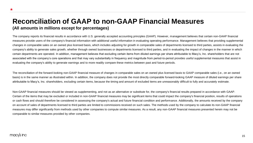### **Reconciliation of GAAP to non-GAAP Financial Measures (All amounts in millions except for percentages)**

The company reports its financial results in accordance with U.S. generally accepted accounting principles (GAAP). However, management believes that certain non-GAAP financial measures provide users of the company's financial information with additional useful information in evaluating operating performance. Management believes that providing supplemental changes in comparable sales on an owned plus licensed basis, which includes adjusting for growth in comparable sales of departments licensed to third parties, assists in evaluating the company's ability to generate sales growth, whether through owned businesses or departments licensed to third parties, and in evaluating the impact of changes in the manner in which certain departments are operated. In addition, management believes that excluding certain items from diluted earnings per share attributable to Macy's, Inc. shareholders that are not associated with the company's core operations and that may vary substantially in frequency and magnitude from period-to-period provides useful supplemental measures that assist in evaluating the company's ability to generate earnings and to more readily compare these metrics between past and future periods.

The reconciliation of the forward-looking non-GAAP financial measure of changes in comparable sales on an owned plus licensed basis to GAAP comparable sales (i.e., on an owned basis) is in the same manner as illustrated within. In addition, the company does not provide the most directly comparable forward-looking GAAP measure of diluted earnings per share attributable to Macy's, Inc. shareholders, excluding certain items, because the timing and amount of excluded items are unreasonably difficult to fully and accurately estimate.

Non-GAAP financial measures should be viewed as supplementing, and not as an alternative or substitute for, the company's financial results prepared in accordance with GAAP. Certain of the items that may be excluded or included in non-GAAP financial measures may be significant items that could impact the company's financial position, results of operations or cash flows and should therefore be considered in assessing the company's actual and future financial condition and performance. Additionally, the amounts received by the company on account of sales of departments licensed to third parties are limited to commissions received on such sales. The methods used by the company to calculate its non-GAAP financial measures may differ significantly from methods used by other companies to compute similar measures. As a result, any non-GAAP financial measures presented herein may not be comparable to similar measures provided by other companies.

 $\bigstar$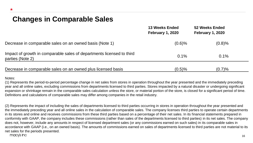### **Changes in Comparable Sales**

|                                                                                           | <b>13 Weeks Ended</b><br>February 1, 2020 | 52 Weeks Ended<br>February 1, 2020 |  |
|-------------------------------------------------------------------------------------------|-------------------------------------------|------------------------------------|--|
| Decrease in comparable sales on an owned basis (Note 1)                                   | $(0.6)$ %                                 | (0.8)%                             |  |
| Impact of growth in comparable sales of departments licensed to third<br>parties (Note 2) | 0.1%                                      | 0.1%                               |  |
| Decrease in comparable sales on an owned plus licensed basis                              | (0.5)%                                    | (0.7)%                             |  |

#### Notes:

(1) Represents the period-to-period percentage change in net sales from stores in operation throughout the year presented and the immediately preceding year and all online sales, excluding commissions from departments licensed to third parties. Stores impacted by a natural disaster or undergoing significant expansion or shrinkage remain in the comparable sales calculation unless the store, or material portion of the store, is closed for a significant period of time. Definitions and calculations of comparable sales may differ among companies in the retail industry.

(2) Represents the impact of including the sales of departments licensed to third parties occurring in stores in operation throughout the year presented and the immediately preceding year and all online sales in the calculation of comparable sales. The company licenses third parties to operate certain departments in its stores and online and receives commissions from these third parties based on a percentage of their net sales. In its financial statements prepared in conformity with GAAP, the company includes these commissions (rather than sales of the departments licensed to third parties) in its net sales. The company does not, however, include any amounts in respect of licensed department sales (or any commissions earned on such sales) in its comparable sales in accordance with GAAP (i.e., on an owned basis). The amounts of commissions earned on sales of departments licensed to third parties are not material to its net sales for the periods presented.

macy's inc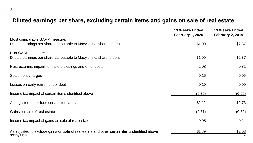### **Diluted earnings per share, excluding certain items and gains on sale of real estate**

|                                                                                                           | <b>13 Weeks Ended</b><br><b>February 1, 2020</b> | <b>13 Weeks Ended</b><br><b>February 2, 2019</b> |
|-----------------------------------------------------------------------------------------------------------|--------------------------------------------------|--------------------------------------------------|
| Most comparable GAAP measure:<br>Diluted earnings per share attributable to Macy's, Inc. shareholders     | \$1.09                                           | \$2.37                                           |
| Non-GAAP measure:<br>Diluted earnings per share attributable to Macy's, Inc. shareholders                 | \$1.09                                           | \$2.37                                           |
| Restructuring, impairment, store closings and other costs                                                 | 1.08                                             | 0.31                                             |
| Settlement charges                                                                                        | 0.15                                             | 0.05                                             |
| Losses on early retirement of debt                                                                        | 0.10                                             | 0.09                                             |
| Income tax impact of certain items identified above                                                       | (0.30)                                           | (0.09)                                           |
| As adjusted to exclude certain item above                                                                 | \$2.12                                           | \$2.73                                           |
| Gains on sale of real estate                                                                              | (0.31)                                           | (0.89)                                           |
| Income tax impact of gains on sale of real estate                                                         | 0.08                                             | 0.24                                             |
| As adjusted to exclude gains on sale of real estate and other certain items identified above<br>macys inc | \$1.89                                           | \$2.08<br>17                                     |